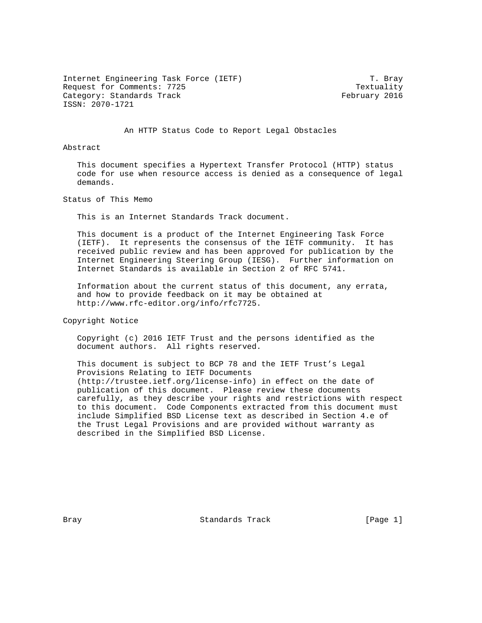Internet Engineering Task Force (IETF) T. Bray Request for Comments: 7725 Textuality Category: Standards Track February 2016 ISSN: 2070-1721

An HTTP Status Code to Report Legal Obstacles

## Abstract

 This document specifies a Hypertext Transfer Protocol (HTTP) status code for use when resource access is denied as a consequence of legal demands.

Status of This Memo

This is an Internet Standards Track document.

 This document is a product of the Internet Engineering Task Force (IETF). It represents the consensus of the IETF community. It has received public review and has been approved for publication by the Internet Engineering Steering Group (IESG). Further information on Internet Standards is available in Section 2 of RFC 5741.

 Information about the current status of this document, any errata, and how to provide feedback on it may be obtained at http://www.rfc-editor.org/info/rfc7725.

Copyright Notice

 Copyright (c) 2016 IETF Trust and the persons identified as the document authors. All rights reserved.

 This document is subject to BCP 78 and the IETF Trust's Legal Provisions Relating to IETF Documents (http://trustee.ietf.org/license-info) in effect on the date of publication of this document. Please review these documents carefully, as they describe your rights and restrictions with respect to this document. Code Components extracted from this document must include Simplified BSD License text as described in Section 4.e of the Trust Legal Provisions and are provided without warranty as described in the Simplified BSD License.

Bray **Bray** Standards Track [Page 1]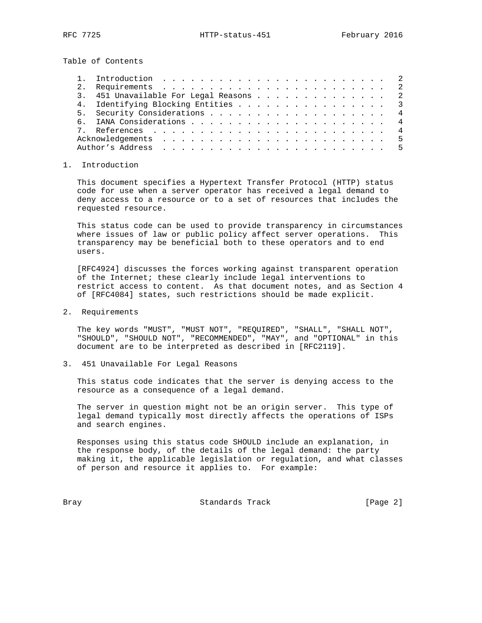Table of Contents

| 3. 451 Unavailable For Legal Reasons 2 |  |  |  |  |  |  |  |  |  |  |
|----------------------------------------|--|--|--|--|--|--|--|--|--|--|
| 4. Identifying Blocking Entities 3     |  |  |  |  |  |  |  |  |  |  |
|                                        |  |  |  |  |  |  |  |  |  |  |
|                                        |  |  |  |  |  |  |  |  |  |  |
|                                        |  |  |  |  |  |  |  |  |  |  |
|                                        |  |  |  |  |  |  |  |  |  |  |
|                                        |  |  |  |  |  |  |  |  |  |  |

## 1. Introduction

 This document specifies a Hypertext Transfer Protocol (HTTP) status code for use when a server operator has received a legal demand to deny access to a resource or to a set of resources that includes the requested resource.

 This status code can be used to provide transparency in circumstances where issues of law or public policy affect server operations. This transparency may be beneficial both to these operators and to end users.

 [RFC4924] discusses the forces working against transparent operation of the Internet; these clearly include legal interventions to restrict access to content. As that document notes, and as Section 4 of [RFC4084] states, such restrictions should be made explicit.

2. Requirements

 The key words "MUST", "MUST NOT", "REQUIRED", "SHALL", "SHALL NOT", "SHOULD", "SHOULD NOT", "RECOMMENDED", "MAY", and "OPTIONAL" in this document are to be interpreted as described in [RFC2119].

3. 451 Unavailable For Legal Reasons

 This status code indicates that the server is denying access to the resource as a consequence of a legal demand.

 The server in question might not be an origin server. This type of legal demand typically most directly affects the operations of ISPs and search engines.

 Responses using this status code SHOULD include an explanation, in the response body, of the details of the legal demand: the party making it, the applicable legislation or regulation, and what classes of person and resource it applies to. For example:

Bray **Bray** Standards Track [Page 2]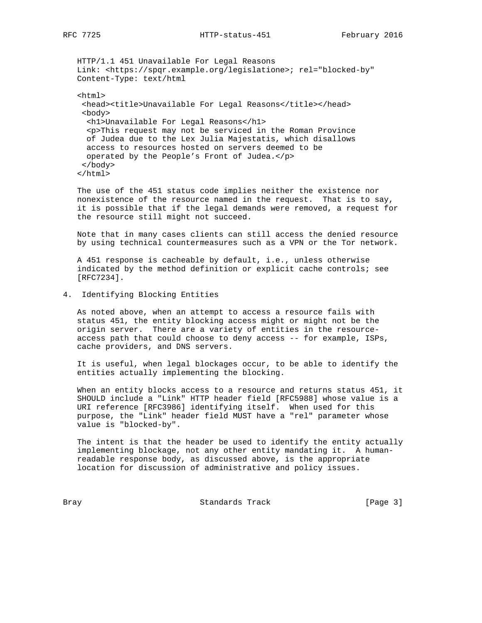HTTP/1.1 451 Unavailable For Legal Reasons Link: <https://spqr.example.org/legislatione>; rel="blocked-by" Content-Type: text/html

 <html> <head><title>Unavailable For Legal Reasons</title></head> <body> <h1>Unavailable For Legal Reasons</h1> <p>This request may not be serviced in the Roman Province of Judea due to the Lex Julia Majestatis, which disallows access to resources hosted on servers deemed to be operated by the People's Front of Judea.</p> </body> </html>

 The use of the 451 status code implies neither the existence nor nonexistence of the resource named in the request. That is to say, it is possible that if the legal demands were removed, a request for the resource still might not succeed.

 Note that in many cases clients can still access the denied resource by using technical countermeasures such as a VPN or the Tor network.

 A 451 response is cacheable by default, i.e., unless otherwise indicated by the method definition or explicit cache controls; see [RFC7234].

4. Identifying Blocking Entities

 As noted above, when an attempt to access a resource fails with status 451, the entity blocking access might or might not be the origin server. There are a variety of entities in the resource access path that could choose to deny access -- for example, ISPs, cache providers, and DNS servers.

 It is useful, when legal blockages occur, to be able to identify the entities actually implementing the blocking.

 When an entity blocks access to a resource and returns status 451, it SHOULD include a "Link" HTTP header field [RFC5988] whose value is a URI reference [RFC3986] identifying itself. When used for this purpose, the "Link" header field MUST have a "rel" parameter whose value is "blocked-by".

 The intent is that the header be used to identify the entity actually implementing blockage, not any other entity mandating it. A human readable response body, as discussed above, is the appropriate location for discussion of administrative and policy issues.

Bray **Standards Track** [Page 3]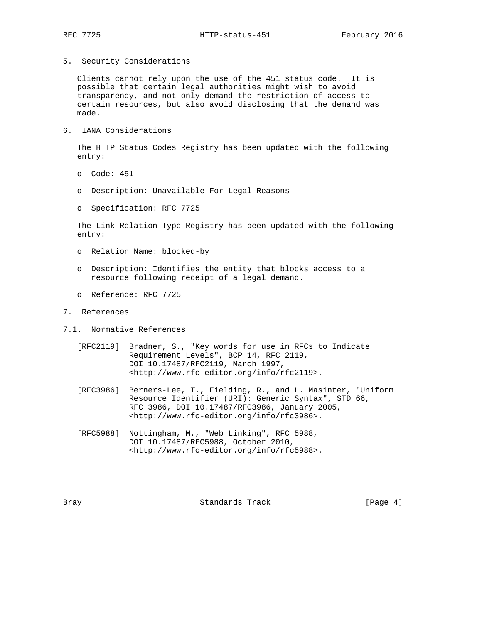5. Security Considerations

 Clients cannot rely upon the use of the 451 status code. It is possible that certain legal authorities might wish to avoid transparency, and not only demand the restriction of access to certain resources, but also avoid disclosing that the demand was made.

6. IANA Considerations

 The HTTP Status Codes Registry has been updated with the following entry:

- o Code: 451
- o Description: Unavailable For Legal Reasons
- o Specification: RFC 7725

 The Link Relation Type Registry has been updated with the following entry:

- o Relation Name: blocked-by
- o Description: Identifies the entity that blocks access to a resource following receipt of a legal demand.
- o Reference: RFC 7725
- 7. References
- 7.1. Normative References
	- [RFC2119] Bradner, S., "Key words for use in RFCs to Indicate Requirement Levels", BCP 14, RFC 2119, DOI 10.17487/RFC2119, March 1997, <http://www.rfc-editor.org/info/rfc2119>.
	- [RFC3986] Berners-Lee, T., Fielding, R., and L. Masinter, "Uniform Resource Identifier (URI): Generic Syntax", STD 66, RFC 3986, DOI 10.17487/RFC3986, January 2005, <http://www.rfc-editor.org/info/rfc3986>.
	- [RFC5988] Nottingham, M., "Web Linking", RFC 5988, DOI 10.17487/RFC5988, October 2010, <http://www.rfc-editor.org/info/rfc5988>.

Bray **Bray** Standards Track [Page 4]